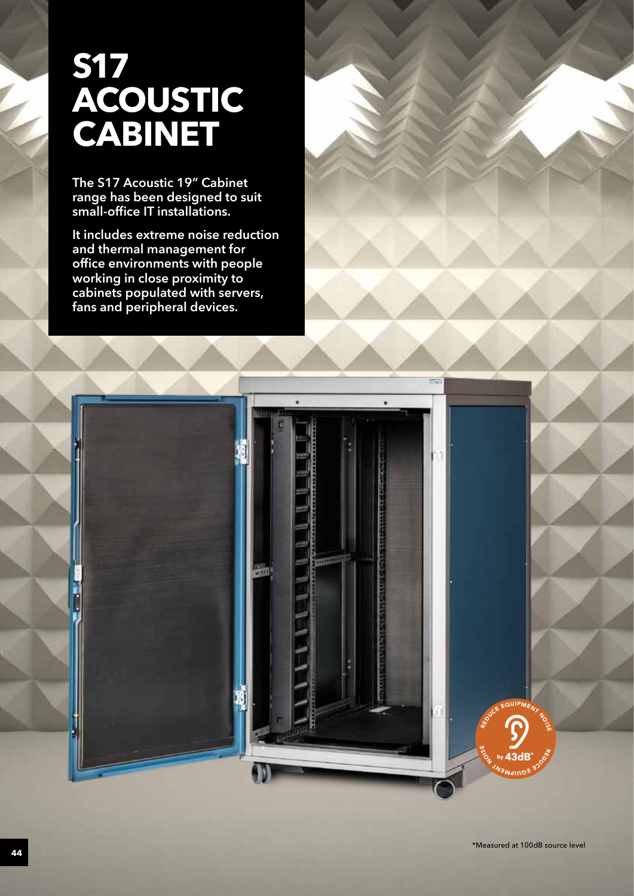# **S17 ACOUSTIC CABINET**

**The S17 Acoustic 19" Cabinet range has been designed to suit small-office IT installations.**

**It includes extreme noise reduction and thermal management for office environments with people working in close proximity to cabinets populated with servers, fans and peripheral devices.**

**B**<sup>+</sup> Co<sup>2</sup>

REDUIPMENT NO.

**EN BY 430** by 43dB\*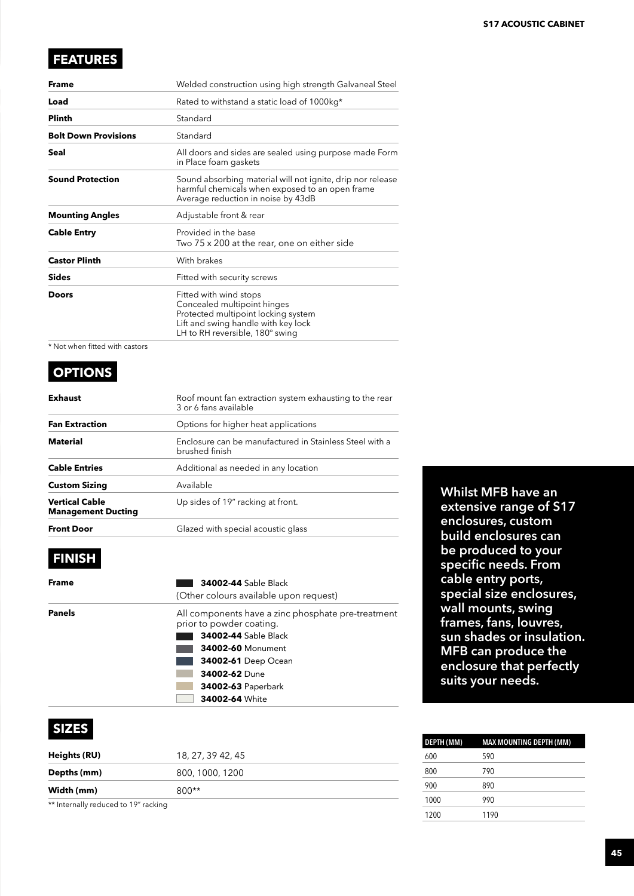## **FEATURES**

| <b>Frame</b>                | Welded construction using high strength Galvaneal Steel                                                                                                                |  |  |  |
|-----------------------------|------------------------------------------------------------------------------------------------------------------------------------------------------------------------|--|--|--|
| Load                        | Rated to withstand a static load of 1000kg*                                                                                                                            |  |  |  |
| <b>Plinth</b>               | Standard                                                                                                                                                               |  |  |  |
| <b>Bolt Down Provisions</b> | Standard                                                                                                                                                               |  |  |  |
| Seal                        | All doors and sides are sealed using purpose made Form<br>in Place foam gaskets                                                                                        |  |  |  |
| <b>Sound Protection</b>     | Sound absorbing material will not ignite, drip nor release<br>harmful chemicals when exposed to an open frame<br>Average reduction in noise by 43dB                    |  |  |  |
| <b>Mounting Angles</b>      | Adjustable front & rear                                                                                                                                                |  |  |  |
| <b>Cable Entry</b>          | Provided in the base<br>Two 75 x 200 at the rear, one on either side                                                                                                   |  |  |  |
| <b>Castor Plinth</b>        | With brakes                                                                                                                                                            |  |  |  |
| <b>Sides</b>                | Fitted with security screws                                                                                                                                            |  |  |  |
| Doors                       | Fitted with wind stops<br>Concealed multipoint hinges<br>Protected multipoint locking system<br>Lift and swing handle with key lock<br>LH to RH reversible, 180° swing |  |  |  |

\* Not when fitted with castors

## **OPTIONS**

| Exhaust                              | Roof mount fan extraction system exhausting to the rear<br>3 or 6 fans available |  |  |  |
|--------------------------------------|----------------------------------------------------------------------------------|--|--|--|
| Fan Extraction                       | Options for higher heat applications                                             |  |  |  |
| Material                             | Enclosure can be manufactured in Stainless Steel with a<br>brushed finish        |  |  |  |
| <b>Cable Entries</b>                 | Additional as needed in any location                                             |  |  |  |
| Custom Sizing                        | Available                                                                        |  |  |  |
| Vertical Cable<br>Management Ducting | Up sides of 19" racking at front.                                                |  |  |  |
| <b>Front Door</b>                    | Glazed with special acoustic glass                                               |  |  |  |

# **FINISH**

| Frame  | <b>34002-44 Sable Black</b><br>(Other colours available upon request)                                                                                                                                                                   |  |
|--------|-----------------------------------------------------------------------------------------------------------------------------------------------------------------------------------------------------------------------------------------|--|
| Panels | All components have a zinc phosphate pre-treatment<br>prior to powder coating.<br><b>34002-44 Sable Black</b><br><b>34002-60 Monument</b><br><b>34002-61</b> Deep Ocean<br>34002-62 Dune<br><b>34002-63 Paperbark</b><br>34002-64 White |  |

### **SIZES**

| Heights (RU)                         | 18, 27, 39 42, 45 |  |
|--------------------------------------|-------------------|--|
| Depths (mm)                          | 800, 1000, 1200   |  |
| Width (mm)                           | $800**$           |  |
| ** Internally reduced to 19" racking |                   |  |

**Whilst MFB have an extensive range of S17 enclosures, custom build enclosures can be produced to your specific needs. From cable entry ports, special size enclosures, wall mounts, swing frames, fans, louvres, sun shades or insulation. MFB can produce the enclosure that perfectly suits your needs.**

| DEPTH (MM) | <b>MAX MOUNTING DEPTH (MM)</b> |
|------------|--------------------------------|
| 600        | 590                            |
| 800        | 790                            |
| 900        | 890                            |
| 1000       | 990                            |
| 1200       | 1190                           |
|            |                                |